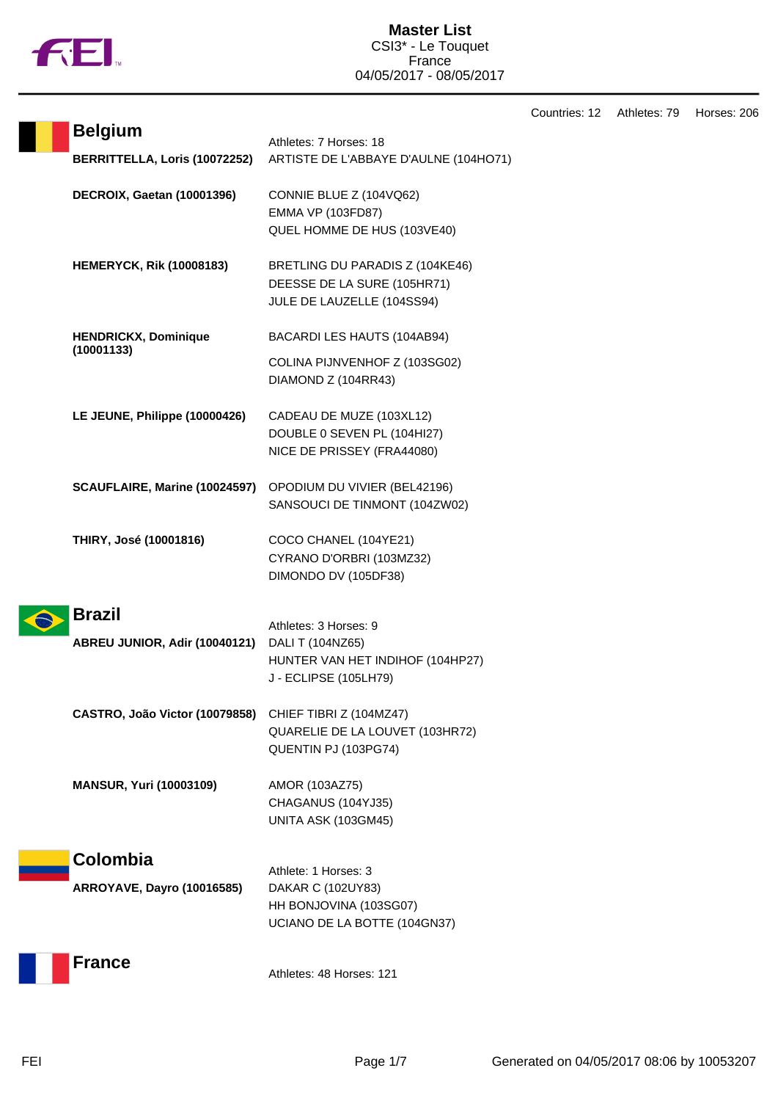

T

| Countries: 12 | Athletes: 79 | Horses: 206 |
|---------------|--------------|-------------|
|---------------|--------------|-------------|

| <b>Belgium</b>                                | Athletes: 7 Horses: 18                                                                                 |
|-----------------------------------------------|--------------------------------------------------------------------------------------------------------|
| BERRITTELLA, Loris (10072252)                 | ARTISTE DE L'ABBAYE D'AULNE (104HO71)                                                                  |
| <b>DECROIX, Gaetan (10001396)</b>             | CONNIE BLUE Z (104VQ62)<br><b>EMMA VP (103FD87)</b><br>QUEL HOMME DE HUS (103VE40)                     |
| <b>HEMERYCK, Rik (10008183)</b>               | BRETLING DU PARADIS Z (104KE46)<br>DEESSE DE LA SURE (105HR71)<br>JULE DE LAUZELLE (104SS94)           |
| <b>HENDRICKX, Dominique</b><br>(10001133)     | BACARDI LES HAUTS (104AB94)                                                                            |
|                                               | COLINA PIJNVENHOF Z (103SG02)<br>DIAMOND Z (104RR43)                                                   |
| LE JEUNE, Philippe (10000426)                 | CADEAU DE MUZE (103XL12)<br>DOUBLE 0 SEVEN PL (104HI27)<br>NICE DE PRISSEY (FRA44080)                  |
| SCAUFLAIRE, Marine (10024597)                 | OPODIUM DU VIVIER (BEL42196)<br>SANSOUCI DE TINMONT (104ZW02)                                          |
| THIRY, José (10001816)                        | COCO CHANEL (104YE21)<br>CYRANO D'ORBRI (103MZ32)<br>DIMONDO DV (105DF38)                              |
| <b>Brazil</b>                                 |                                                                                                        |
| ABREU JUNIOR, Adir (10040121)                 | Athletes: 3 Horses: 9<br>DALI T (104NZ65)<br>HUNTER VAN HET INDIHOF (104HP27)<br>J - ECLIPSE (105LH79) |
| CASTRO, João Victor (10079858)                | CHIEF TIBRI Z (104MZ47)<br>QUARELIE DE LA LOUVET (103HR72)<br>QUENTIN PJ (103PG74)                     |
| <b>MANSUR, Yuri (10003109)</b>                | AMOR (103AZ75)<br>CHAGANUS (104YJ35)<br>UNITA ASK (103GM45)                                            |
| Colombia<br><b>ARROYAVE, Dayro (10016585)</b> | Athlete: 1 Horses: 3<br>DAKAR C (102UY83)<br>HH BONJOVINA (103SG07)<br>UCIANO DE LA BOTTE (104GN37)    |
| France                                        | Athletes: 48 Horses: 121                                                                               |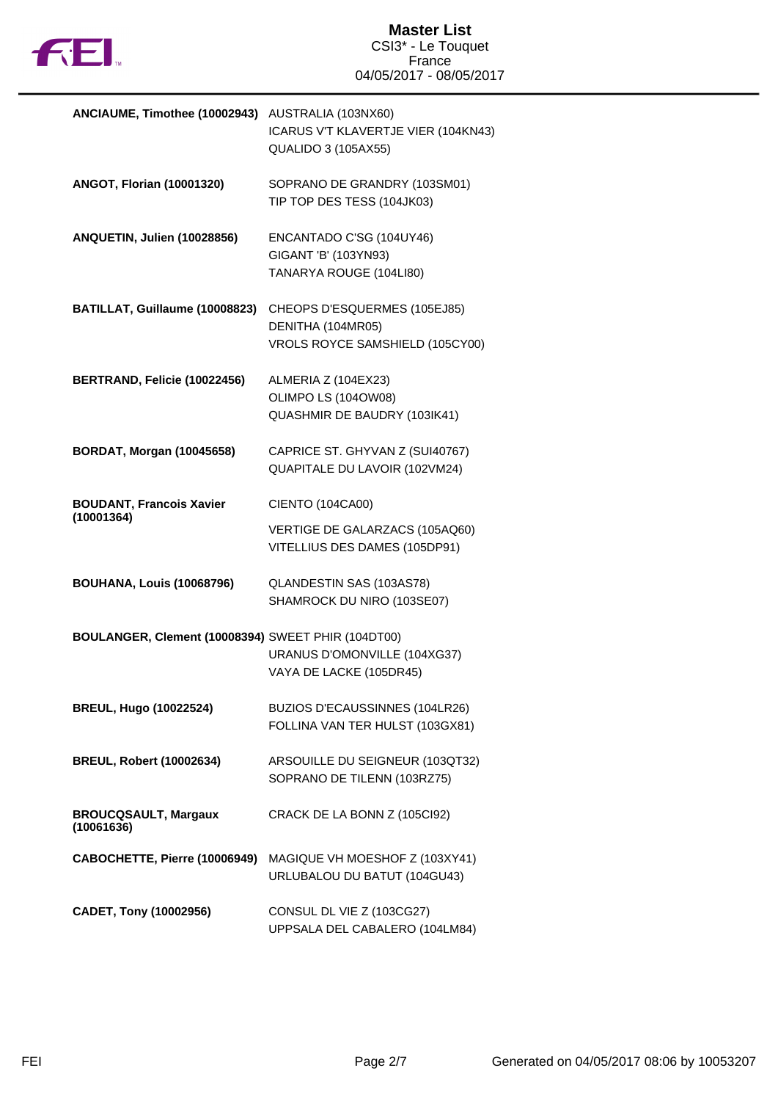

| ANCIAUME, Timothee (10002943)                      | AUSTRALIA (103NX60)                 |
|----------------------------------------------------|-------------------------------------|
|                                                    | ICARUS V'T KLAVERTJE VIER (104KN43) |
|                                                    | <b>QUALIDO 3 (105AX55)</b>          |
|                                                    |                                     |
| <b>ANGOT, Florian (10001320)</b>                   | SOPRANO DE GRANDRY (103SM01)        |
|                                                    | TIP TOP DES TESS (104JK03)          |
|                                                    |                                     |
| ANQUETIN, Julien (10028856)                        | ENCANTADO C'SG (104UY46)            |
|                                                    | GIGANT 'B' (103YN93)                |
|                                                    | TANARYA ROUGE (104LI80)             |
|                                                    |                                     |
| BATILLAT, Guillaume (10008823)                     | CHEOPS D'ESQUERMES (105EJ85)        |
|                                                    | DENITHA (104MR05)                   |
|                                                    | VROLS ROYCE SAMSHIELD (105CY00)     |
|                                                    |                                     |
| BERTRAND, Felicie (10022456)                       | ALMERIA Z (104EX23)                 |
|                                                    | OLIMPO LS (104OW08)                 |
|                                                    | QUASHMIR DE BAUDRY (103IK41)        |
|                                                    |                                     |
| <b>BORDAT, Morgan (10045658)</b>                   | CAPRICE ST. GHYVAN Z (SUI40767)     |
|                                                    | QUAPITALE DU LAVOIR (102VM24)       |
|                                                    |                                     |
| <b>BOUDANT, Francois Xavier</b>                    | CIENTO (104CA00)                    |
| (10001364)                                         |                                     |
|                                                    | VERTIGE DE GALARZACS (105AQ60)      |
|                                                    | VITELLIUS DES DAMES (105DP91)       |
| <b>BOUHANA, Louis (10068796)</b>                   | QLANDESTIN SAS (103AS78)            |
|                                                    | SHAMROCK DU NIRO (103SE07)          |
|                                                    |                                     |
| BOULANGER, Clement (10008394) SWEET PHIR (104DT00) |                                     |
|                                                    | URANUS D'OMONVILLE (104XG37)        |
|                                                    | VAYA DE LACKE (105DR45)             |
|                                                    |                                     |
| <b>BREUL, Hugo (10022524)</b>                      | BUZIOS D'ECAUSSINNES (104LR26)      |
|                                                    | FOLLINA VAN TER HULST (103GX81)     |
|                                                    |                                     |
| <b>BREUL, Robert (10002634)</b>                    | ARSOUILLE DU SEIGNEUR (103QT32)     |
|                                                    | SOPRANO DE TILENN (103RZ75)         |
|                                                    |                                     |
| <b>BROUCQSAULT, Margaux</b>                        | CRACK DE LA BONN Z (105Cl92)        |
| (10061636)                                         |                                     |
| CABOCHETTE, Pierre (10006949)                      | MAGIQUE VH MOESHOF Z (103XY41)      |
|                                                    | URLUBALOU DU BATUT (104GU43)        |
|                                                    |                                     |
| CADET, Tony (10002956)                             | CONSUL DL VIE Z (103CG27)           |
|                                                    | UPPSALA DEL CABALERO (104LM84)      |
|                                                    |                                     |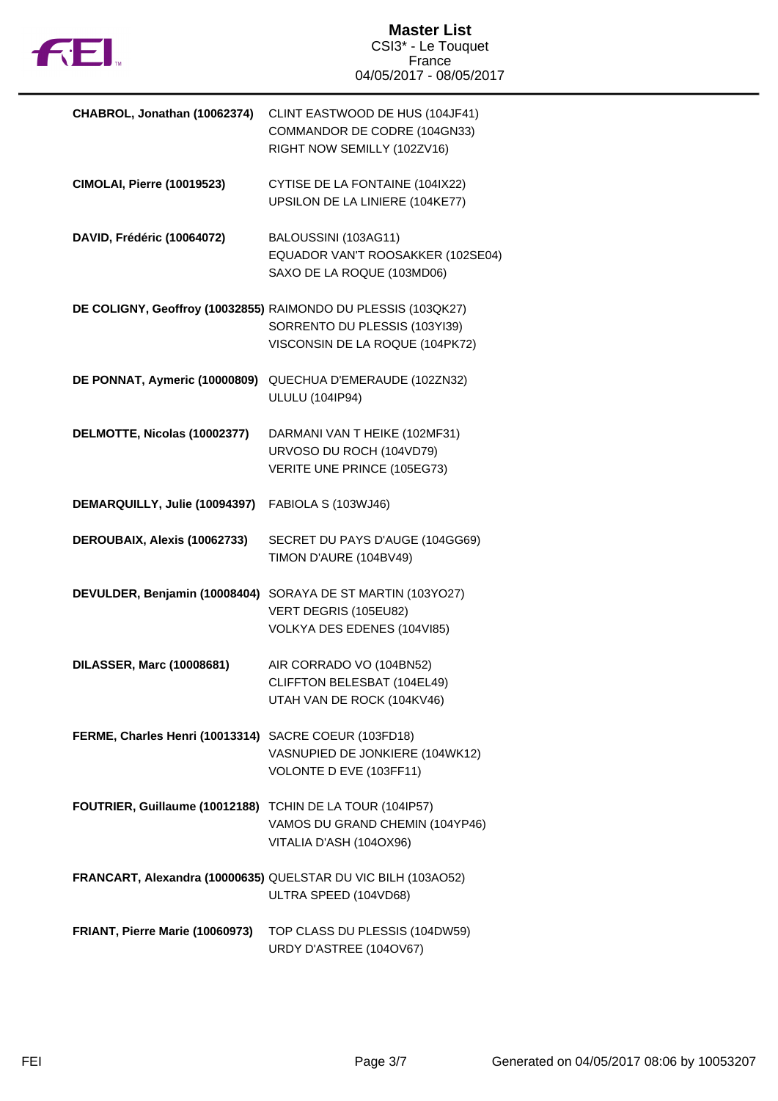

| CHABROL, Jonathan (10062374)                              | CLINT EASTWOOD DE HUS (104JF41)<br>COMMANDOR DE CODRE (104GN33)<br>RIGHT NOW SEMILLY (102ZV16)                                    |
|-----------------------------------------------------------|-----------------------------------------------------------------------------------------------------------------------------------|
| <b>CIMOLAI, Pierre (10019523)</b>                         | CYTISE DE LA FONTAINE (104IX22)<br>UPSILON DE LA LINIERE (104KE77)                                                                |
| DAVID, Frédéric (10064072)                                | BALOUSSINI (103AG11)<br>EQUADOR VAN'T ROOSAKKER (102SE04)<br>SAXO DE LA ROQUE (103MD06)                                           |
|                                                           | DE COLIGNY, Geoffroy (10032855) RAIMONDO DU PLESSIS (103QK27)<br>SORRENTO DU PLESSIS (103YI39)<br>VISCONSIN DE LA ROQUE (104PK72) |
| DE PONNAT, Aymeric (10000809)                             | QUECHUA D'EMERAUDE (102ZN32)<br><b>ULULU (104IP94)</b>                                                                            |
| DELMOTTE, Nicolas (10002377)                              | DARMANI VAN T HEIKE (102MF31)<br>URVOSO DU ROCH (104VD79)<br>VERITE UNE PRINCE (105EG73)                                          |
| DEMARQUILLY, Julie (10094397)                             | FABIOLA S (103WJ46)                                                                                                               |
| DEROUBAIX, Alexis (10062733)                              | SECRET DU PAYS D'AUGE (104GG69)<br>TIMON D'AURE (104BV49)                                                                         |
| DEVULDER, Benjamin (10008404)                             | SORAYA DE ST MARTIN (103YO27)<br>VERT DEGRIS (105EU82)<br>VOLKYA DES EDENES (104VI85)                                             |
| <b>DILASSER, Marc (10008681)</b>                          | AIR CORRADO VO (104BN52)<br>CLIFFTON BELESBAT (104EL49)<br>UTAH VAN DE ROCK (104KV46)                                             |
| FERME, Charles Henri (10013314) SACRE COEUR (103FD18)     | VASNUPIED DE JONKIERE (104WK12)<br>VOLONTE D EVE (103FF11)                                                                        |
| FOUTRIER, Guillaume (10012188) TCHIN DE LA TOUR (104IP57) | VAMOS DU GRAND CHEMIN (104YP46)<br>VITALIA D'ASH (104OX96)                                                                        |
|                                                           | FRANCART, Alexandra (10000635) QUELSTAR DU VIC BILH (103AO52)<br>ULTRA SPEED (104VD68)                                            |
| FRIANT, Pierre Marie (10060973)                           | TOP CLASS DU PLESSIS (104DW59)<br>URDY D'ASTREE (104OV67)                                                                         |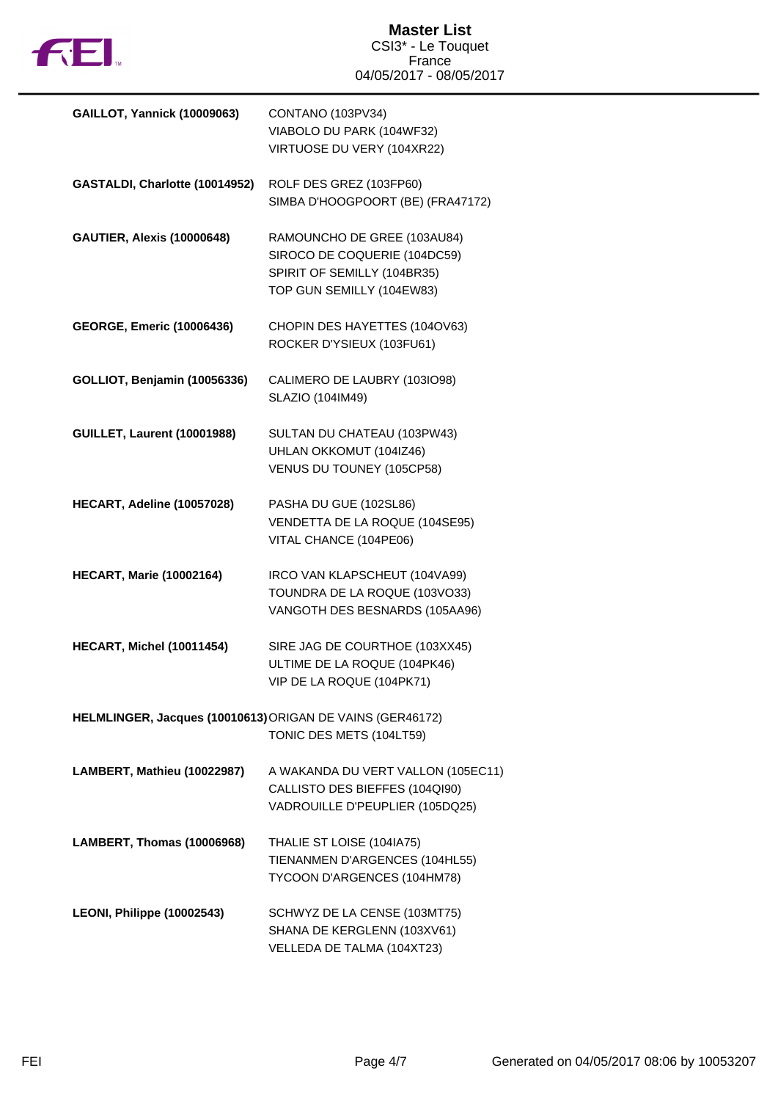

| <b>GAILLOT, Yannick (10009063)</b>                        | CONTANO (103PV34)                  |
|-----------------------------------------------------------|------------------------------------|
|                                                           | VIABOLO DU PARK (104WF32)          |
|                                                           | VIRTUOSE DU VERY (104XR22)         |
|                                                           |                                    |
| GASTALDI, Charlotte (10014952)                            | ROLF DES GREZ (103FP60)            |
|                                                           | SIMBA D'HOOGPOORT (BE) (FRA47172)  |
|                                                           |                                    |
| <b>GAUTIER, Alexis (10000648)</b>                         | RAMOUNCHO DE GREE (103AU84)        |
|                                                           |                                    |
|                                                           | SIROCO DE COQUERIE (104DC59)       |
|                                                           | SPIRIT OF SEMILLY (104BR35)        |
|                                                           | TOP GUN SEMILLY (104EW83)          |
|                                                           |                                    |
| <b>GEORGE, Emeric (10006436)</b>                          | CHOPIN DES HAYETTES (104OV63)      |
|                                                           | ROCKER D'YSIEUX (103FU61)          |
|                                                           |                                    |
| GOLLIOT, Benjamin (10056336)                              | CALIMERO DE LAUBRY (103IO98)       |
|                                                           | SLAZIO (104IM49)                   |
|                                                           |                                    |
| <b>GUILLET, Laurent (10001988)</b>                        | SULTAN DU CHATEAU (103PW43)        |
|                                                           | UHLAN OKKOMUT (104IZ46)            |
|                                                           | VENUS DU TOUNEY (105CP58)          |
|                                                           |                                    |
| HECART, Adeline (10057028)                                | PASHA DU GUE (102SL86)             |
|                                                           | VENDETTA DE LA ROQUE (104SE95)     |
|                                                           | VITAL CHANCE (104PE06)             |
|                                                           |                                    |
| <b>HECART, Marie (10002164)</b>                           | IRCO VAN KLAPSCHEUT (104VA99)      |
|                                                           | TOUNDRA DE LA ROQUE (103VO33)      |
|                                                           |                                    |
|                                                           | VANGOTH DES BESNARDS (105AA96)     |
|                                                           |                                    |
| HECART, Michel (10011454)                                 | SIRE JAG DE COURTHOE (103XX45)     |
|                                                           | ULTIME DE LA ROQUE (104PK46)       |
|                                                           | VIP DE LA ROQUE (104PK71)          |
|                                                           |                                    |
| HELMLINGER, Jacques (10010613) ORIGAN DE VAINS (GER46172) |                                    |
|                                                           | TONIC DES METS (104LT59)           |
|                                                           |                                    |
| LAMBERT, Mathieu (10022987)                               | A WAKANDA DU VERT VALLON (105EC11) |
|                                                           | CALLISTO DES BIEFFES (104QI90)     |
|                                                           | VADROUILLE D'PEUPLIER (105DQ25)    |
|                                                           |                                    |
| LAMBERT, Thomas (10006968)                                | THALIE ST LOISE (104IA75)          |
|                                                           | TIENANMEN D'ARGENCES (104HL55)     |
|                                                           | TYCOON D'ARGENCES (104HM78)        |
|                                                           |                                    |
| LEONI, Philippe (10002543)                                | SCHWYZ DE LA CENSE (103MT75)       |
|                                                           | SHANA DE KERGLENN (103XV61)        |
|                                                           | VELLEDA DE TALMA (104XT23)         |
|                                                           |                                    |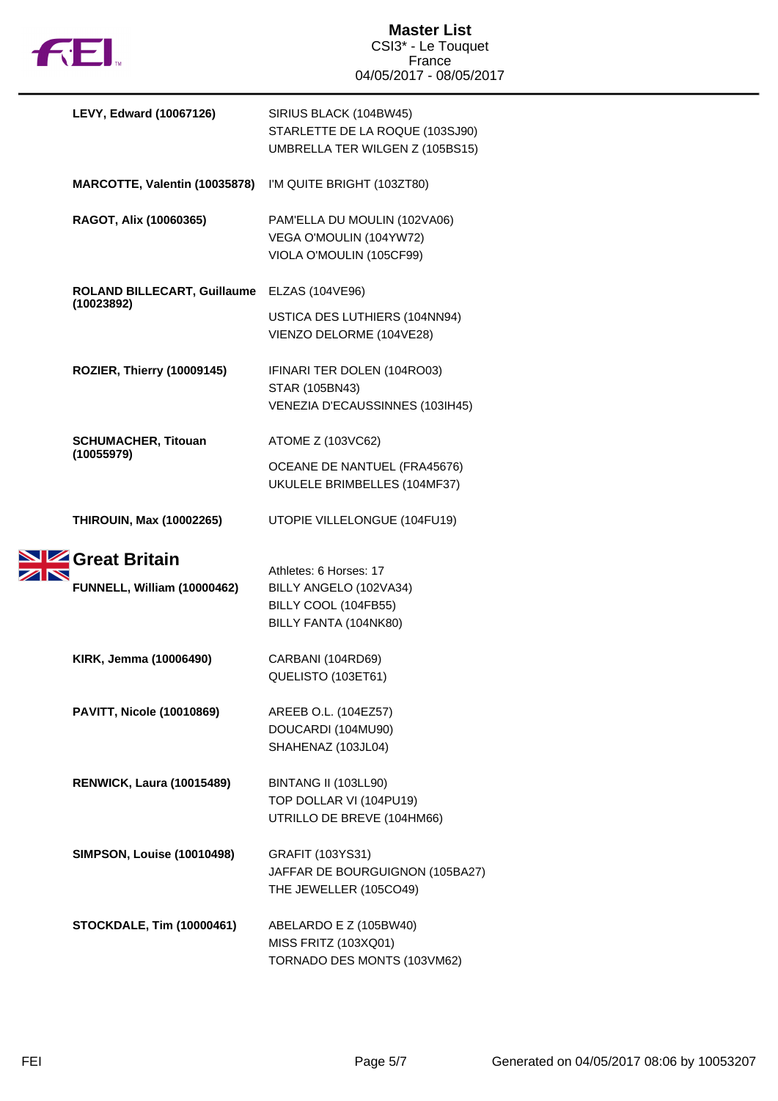

|  | <b>LEVY, Edward (10067126)</b>               | SIRIUS BLACK (104BW45)<br>STARLETTE DE LA ROQUE (103SJ90)<br>UMBRELLA TER WILGEN Z (105BS15)      |
|--|----------------------------------------------|---------------------------------------------------------------------------------------------------|
|  | MARCOTTE, Valentin (10035878)                | I'M QUITE BRIGHT (103ZT80)                                                                        |
|  | RAGOT, Alix (10060365)                       | PAM'ELLA DU MOULIN (102VA06)<br>VEGA O'MOULIN (104YW72)<br>VIOLA O'MOULIN (105CF99)               |
|  | ROLAND BILLECART, Guillaume                  | ELZAS (104VE96)                                                                                   |
|  | (10023892)                                   | USTICA DES LUTHIERS (104NN94)<br>VIENZO DELORME (104VE28)                                         |
|  | ROZIER, Thierry (10009145)                   | IFINARI TER DOLEN (104RO03)<br>STAR (105BN43)<br>VENEZIA D'ECAUSSINNES (103IH45)                  |
|  | <b>SCHUMACHER, Titouan</b>                   | ATOME Z (103VC62)                                                                                 |
|  | (10055979)                                   | OCEANE DE NANTUEL (FRA45676)<br>UKULELE BRIMBELLES (104MF37)                                      |
|  | <b>THIROUIN, Max (10002265)</b>              | UTOPIE VILLELONGUE (104FU19)                                                                      |
|  | Great Britain<br>FUNNELL, William (10000462) | Athletes: 6 Horses: 17<br>BILLY ANGELO (102VA34)<br>BILLY COOL (104FB55)<br>BILLY FANTA (104NK80) |
|  | KIRK, Jemma (10006490)                       | CARBANI (104RD69)<br>QUELISTO (103ET61)                                                           |
|  | <b>PAVITT, Nicole (10010869)</b>             | AREEB O.L. (104EZ57)<br>DOUCARDI (104MU90)<br>SHAHENAZ (103JL04)                                  |
|  | <b>RENWICK, Laura (10015489)</b>             | BINTANG II (103LL90)<br>TOP DOLLAR VI (104PU19)<br>UTRILLO DE BREVE (104HM66)                     |
|  | <b>SIMPSON, Louise (10010498)</b>            | GRAFIT (103YS31)<br>JAFFAR DE BOURGUIGNON (105BA27)<br>THE JEWELLER (105CO49)                     |
|  | <b>STOCKDALE, Tim (10000461)</b>             | ABELARDO E Z (105BW40)<br>MISS FRITZ (103XQ01)<br>TORNADO DES MONTS (103VM62)                     |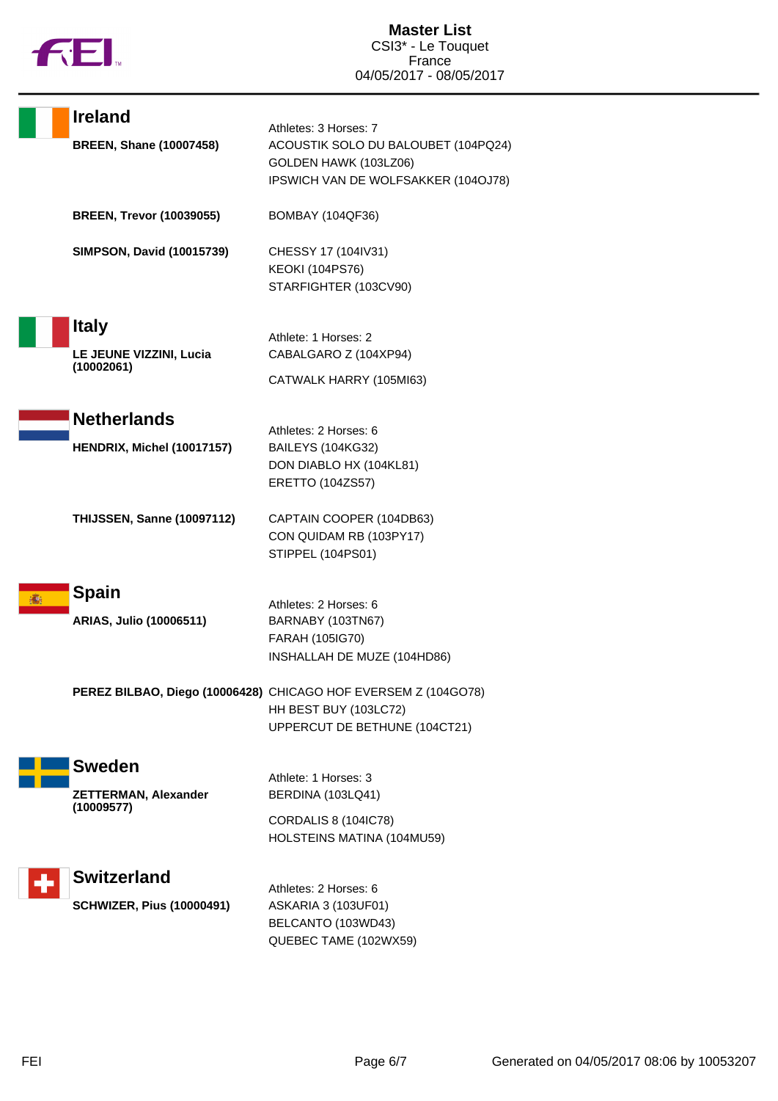

| <b>Ireland</b>                                         | Athletes: 3 Horses: 7                                                                                                    |
|--------------------------------------------------------|--------------------------------------------------------------------------------------------------------------------------|
| <b>BREEN, Shane (10007458)</b>                         | ACOUSTIK SOLO DU BALOUBET (104PQ24)<br>GOLDEN HAWK (103LZ06)<br>IPSWICH VAN DE WOLFSAKKER (104OJ78)                      |
| <b>BREEN, Trevor (10039055)</b>                        | <b>BOMBAY (104QF36)</b>                                                                                                  |
| <b>SIMPSON, David (10015739)</b>                       | CHESSY 17 (104IV31)<br><b>KEOKI (104PS76)</b><br>STARFIGHTER (103CV90)                                                   |
| <b>Italy</b><br>LE JEUNE VIZZINI, Lucia<br>(10002061)  | Athlete: 1 Horses: 2<br>CABALGARO Z (104XP94)<br>CATWALK HARRY (105MI63)                                                 |
| <b>Netherlands</b><br>HENDRIX, Michel (10017157)       | Athletes: 2 Horses: 6<br><b>BAILEYS (104KG32)</b><br>DON DIABLO HX (104KL81)                                             |
| <b>THIJSSEN, Sanne (10097112)</b>                      | ERETTO (104ZS57)<br>CAPTAIN COOPER (104DB63)<br>CON QUIDAM RB (103PY17)<br>STIPPEL (104PS01)                             |
| <b>Spain</b><br>ARIAS, Julio (10006511)                | Athletes: 2 Horses: 6<br>BARNABY (103TN67)<br>FARAH (105IG70)<br>INSHALLAH DE MUZE (104HD86)                             |
|                                                        | PEREZ BILBAO, Diego (10006428) CHICAGO HOF EVERSEM Z (104GO78)<br>HH BEST BUY (103LC72)<br>UPPERCUT DE BETHUNE (104CT21) |
| <b>Sweden</b><br><b>ZETTERMAN, Alexander</b>           | Athlete: 1 Horses: 3<br>BERDINA (103LQ41)                                                                                |
| (10009577)                                             | CORDALIS 8 (104IC78)<br>HOLSTEINS MATINA (104MU59)                                                                       |
| <b>Switzerland</b><br><b>SCHWIZER, Pius (10000491)</b> | Athletes: 2 Horses: 6<br>ASKARIA 3 (103UF01)<br>BELCANTO (103WD43)<br>QUEBEC TAME (102WX59)                              |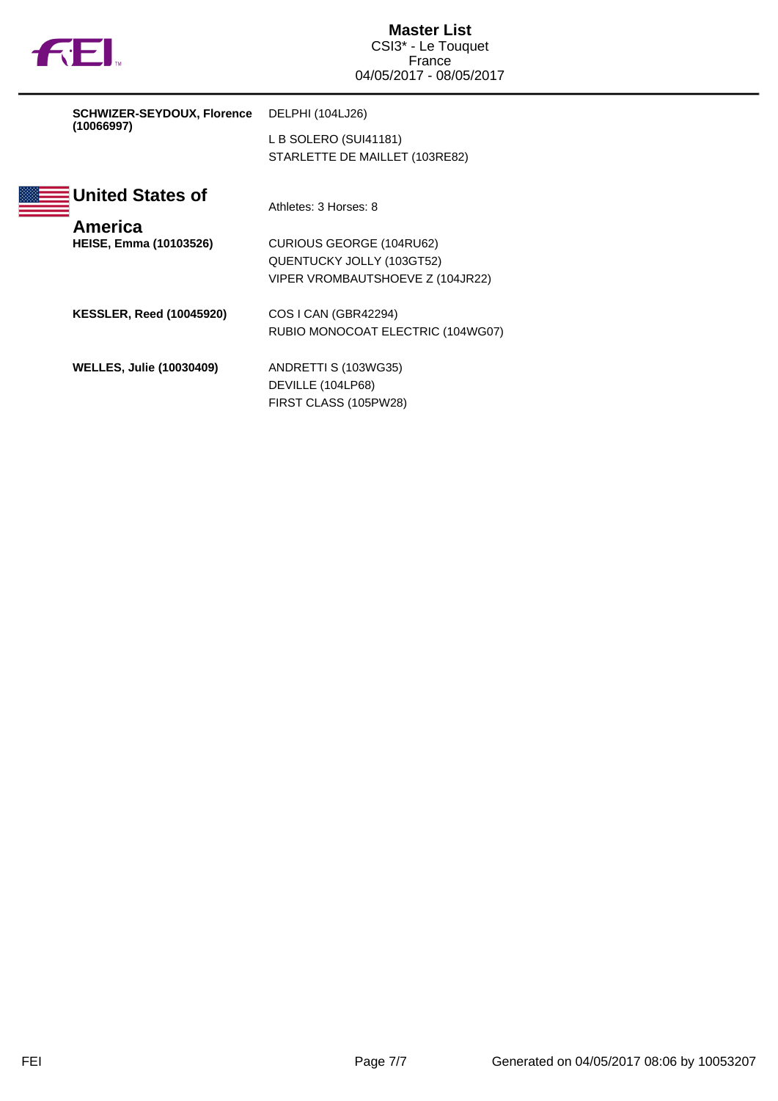|  | υ |
|--|---|
|  |   |

| <b>SCHWIZER-SEYDOUX, Florence</b> | DELPHI (104LJ26)                |                                   |
|-----------------------------------|---------------------------------|-----------------------------------|
|                                   | (10066997)                      | L B SOLERO (SUI41181)             |
|                                   |                                 | STARLETTE DE MAILLET (103RE82)    |
|                                   | <b>United States of</b>         |                                   |
|                                   |                                 | Athletes: 3 Horses: 8             |
|                                   | America                         |                                   |
|                                   | <b>HEISE, Emma (10103526)</b>   | CURIOUS GEORGE (104RU62)          |
|                                   |                                 | QUENTUCKY JOLLY (103GT52)         |
|                                   |                                 | VIPER VROMBAUTSHOEVE Z (104JR22)  |
|                                   | <b>KESSLER, Reed (10045920)</b> | COS I CAN (GBR42294)              |
|                                   |                                 | RUBIO MONOCOAT ELECTRIC (104WG07) |
|                                   | <b>WELLES, Julie (10030409)</b> | ANDRETTI S (103WG35)              |
|                                   |                                 | DEVILLE (104LP68)                 |
|                                   |                                 | FIRST CLASS (105PW28)             |
|                                   |                                 |                                   |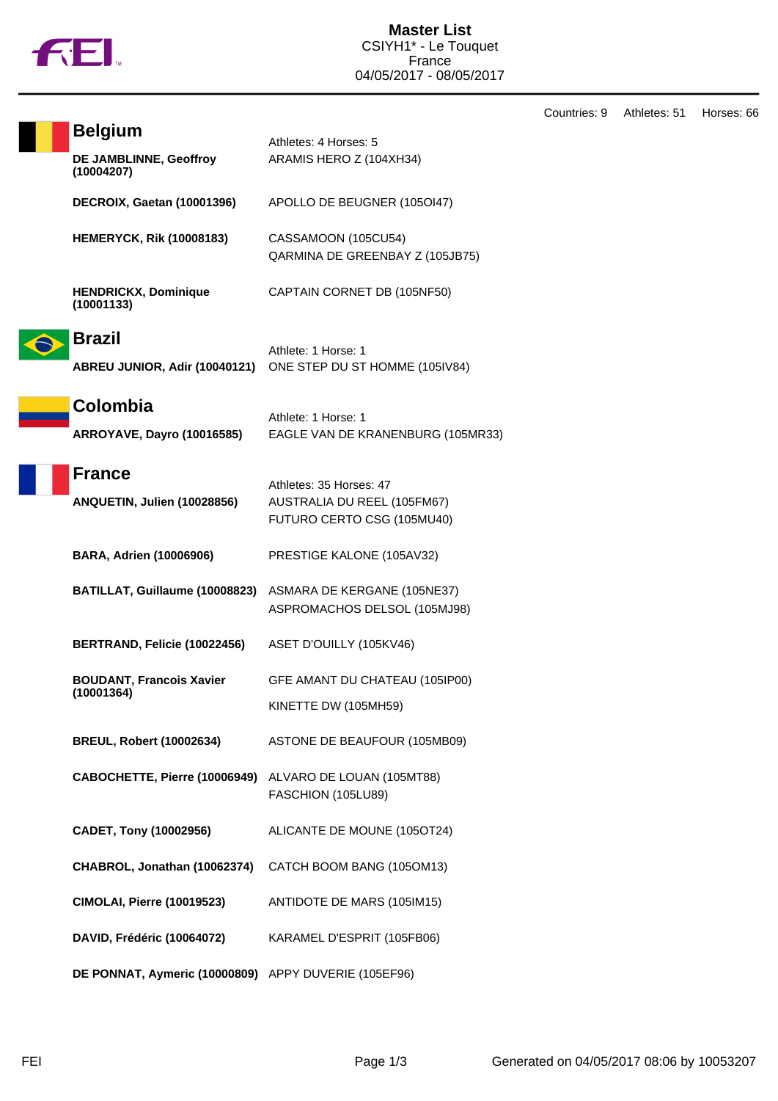

**Belgium**<br>Athletes: 4 Horses: 5

**DE JAMBLINNE, Geoffroy**

**(10004207)**

ARAMIS HERO Z (104XH34)

**DECROIX, Gaetan (10001396)** APOLLO DE BEUGNER (105OI47) **HEMERYCK, Rik (10008183)** CASSAMOON (105CU54) QARMINA DE GREENBAY Z (105JB75) **HENDRICKX, Dominique (10001133)** CAPTAIN CORNET DB (105NF50) **Brazil** Athlete: 1 Horse: 1 **ABREU JUNIOR, Adir (10040121)** ONE STEP DU ST HOMME (105IV84) **Colombia** Athlete: 1 Horse: 1 **ARROYAVE, Dayro (10016585)** EAGLE VAN DE KRANENBURG (105MR33) **France** Athletes: 35 Horses: 47 **ANQUETIN, Julien (10028856)** AUSTRALIA DU REEL (105FM67) FUTURO CERTO CSG (105MU40) **BARA, Adrien (10006906)** PRESTIGE KALONE (105AV32) **BATILLAT, Guillaume (10008823)** ASMARA DE KERGANE (105NE37) ASPROMACHOS DELSOL (105MJ98) **BERTRAND, Felicie (10022456)** ASET D'OUILLY (105KV46) **BOUDANT, Francois Xavier (10001364)** GFE AMANT DU CHATEAU (105IP00) KINETTE DW (105MH59) **BREUL, Robert (10002634)** ASTONE DE BEAUFOUR (105MB09) **CABOCHETTE, Pierre (10006949)** ALVARO DE LOUAN (105MT88) FASCHION (105LU89) **CADET, Tony (10002956)** ALICANTE DE MOUNE (105OT24) **CHABROL, Jonathan (10062374)** CATCH BOOM BANG (105OM13) **CIMOLAI, Pierre (10019523)** ANTIDOTE DE MARS (105IM15) **DAVID, Frédéric (10064072)** KARAMEL D'ESPRIT (105FB06) **DE PONNAT, Aymeric (10000809)** APPY DUVERIE (105EF96)

Countries: 9 Athletes: 51 Horses: 66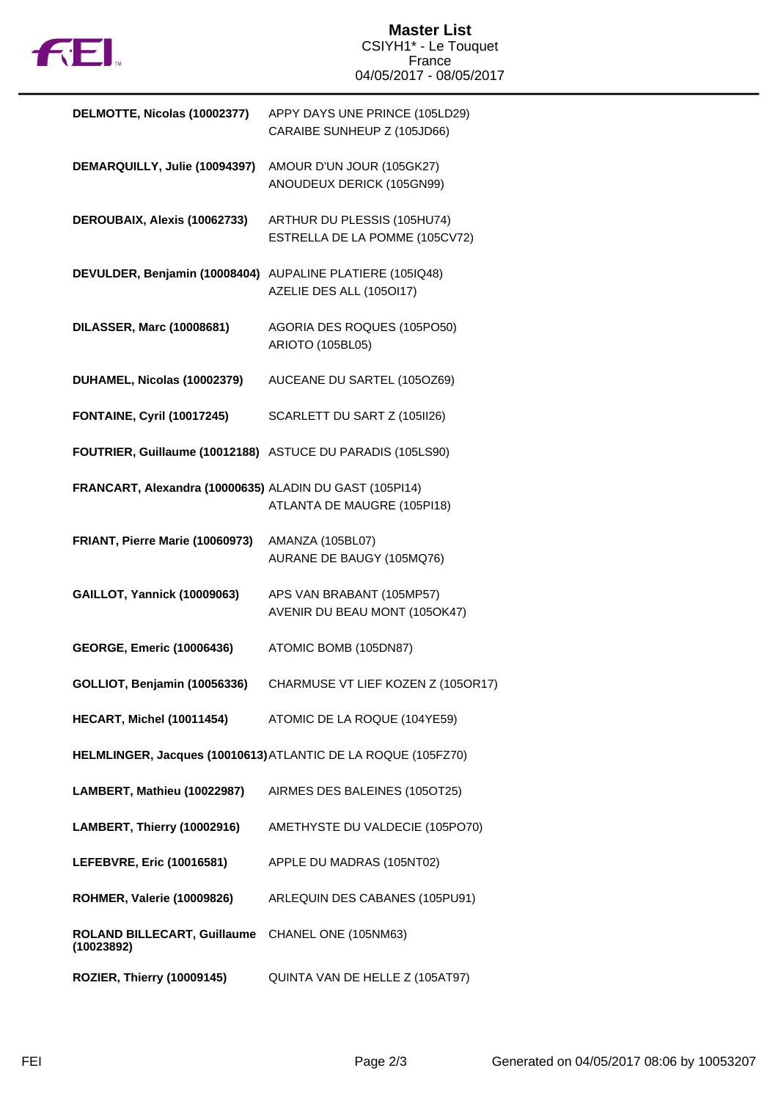

| DELMOTTE, Nicolas (10002377)                               | APPY DAYS UNE PRINCE (105LD29)<br>CARAIBE SUNHEUP Z (105JD66) |
|------------------------------------------------------------|---------------------------------------------------------------|
| DEMARQUILLY, Julie (10094397)                              | AMOUR D'UN JOUR (105GK27)<br>ANOUDEUX DERICK (105GN99)        |
| DEROUBAIX, Alexis (10062733)                               | ARTHUR DU PLESSIS (105HU74)<br>ESTRELLA DE LA POMME (105CV72) |
| DEVULDER, Benjamin (10008404)                              | AUPALINE PLATIERE (105IQ48)<br>AZELIE DES ALL (105OI17)       |
| <b>DILASSER, Marc (10008681)</b>                           | AGORIA DES ROQUES (105PO50)<br>ARIOTO (105BL05)               |
| DUHAMEL, Nicolas (10002379)                                | AUCEANE DU SARTEL (105OZ69)                                   |
| <b>FONTAINE, Cyril (10017245)</b>                          | SCARLETT DU SART Z (105II26)                                  |
| FOUTRIER, Guillaume (10012188) ASTUCE DU PARADIS (105LS90) |                                                               |
| FRANCART, Alexandra (10000635) ALADIN DU GAST (105PI14)    | ATLANTA DE MAUGRE (105PI18)                                   |
| FRIANT, Pierre Marie (10060973)                            | AMANZA (105BL07)<br>AURANE DE BAUGY (105MQ76)                 |
| <b>GAILLOT, Yannick (10009063)</b>                         | APS VAN BRABANT (105MP57)<br>AVENIR DU BEAU MONT (105OK47)    |
| <b>GEORGE, Emeric (10006436)</b>                           | ATOMIC BOMB (105DN87)                                         |
| GOLLIOT, Benjamin (10056336)                               | CHARMUSE VT LIEF KOZEN Z (105OR17)                            |
| <b>HECART, Michel (10011454)</b>                           | ATOMIC DE LA ROQUE (104YE59)                                  |
|                                                            | HELMLINGER, Jacques (10010613) ATLANTIC DE LA ROQUE (105FZ70) |
| LAMBERT, Mathieu (10022987)                                | AIRMES DES BALEINES (105OT25)                                 |
| LAMBERT, Thierry (10002916)                                | AMETHYSTE DU VALDECIE (105PO70)                               |
| LEFEBVRE, Eric (10016581)                                  | APPLE DU MADRAS (105NT02)                                     |
| <b>ROHMER, Valerie (10009826)</b>                          | ARLEQUIN DES CABANES (105PU91)                                |
| ROLAND BILLECART, Guillaume<br>(10023892)                  | CHANEL ONE (105NM63)                                          |
| ROZIER, Thierry (10009145)                                 | QUINTA VAN DE HELLE Z (105AT97)                               |